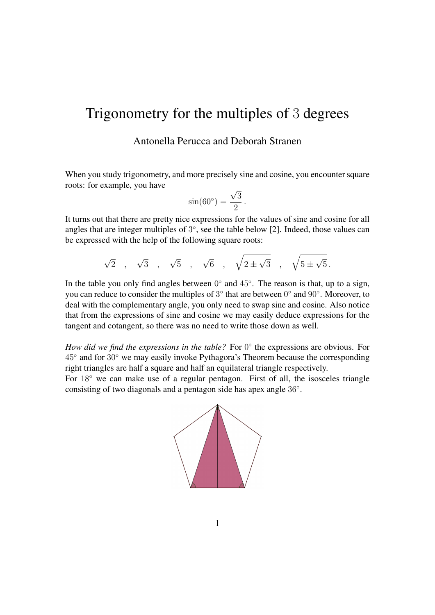# Trigonometry for the multiples of 3 degrees

Antonella Perucca and Deborah Stranen

When you study trigonometry, and more precisely sine and cosine, you encounter square roots: for example, you have √

$$
\sin(60^\circ) = \frac{\sqrt{3}}{2}.
$$

It turns out that there are pretty nice expressions for the values of sine and cosine for all angles that are integer multiples of  $3^\circ$ , see the table below [\[2\]](#page-3-0). Indeed, those values can be expressed with the help of the following square roots:

$$
\sqrt{2} , \quad \sqrt{3} , \quad \sqrt{5} , \quad \sqrt{6} , \quad \sqrt{6} , \quad \sqrt{2 \pm \sqrt{3} } , \quad \sqrt{5 \pm \sqrt{5} }.
$$

In the table you only find angles between  $0^{\circ}$  and  $45^{\circ}$ . The reason is that, up to a sign, you can reduce to consider the multiples of  $3^{\circ}$  that are between  $0^{\circ}$  and  $90^{\circ}$ . Moreover, to deal with the complementary angle, you only need to swap sine and cosine. Also notice that from the expressions of sine and cosine we may easily deduce expressions for the tangent and cotangent, so there was no need to write those down as well.

*How did we find the expressions in the table?* For 0° the expressions are obvious. For 45◦ and for 30◦ we may easily invoke Pythagora's Theorem because the corresponding right triangles are half a square and half an equilateral triangle respectively.

For 18◦ we can make use of a regular pentagon. First of all, the isosceles triangle consisting of two diagonals and a pentagon side has apex angle 36◦ .

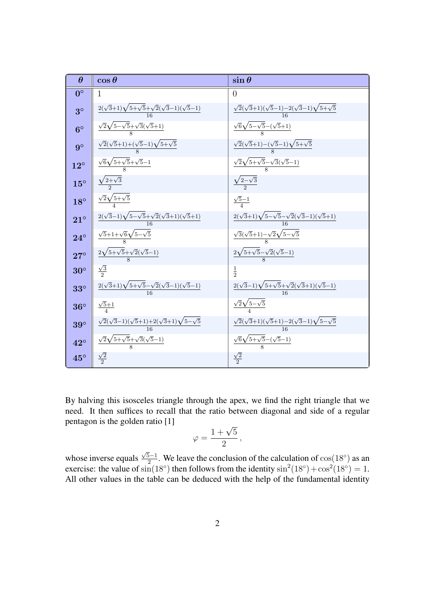

By halving this isosceles triangle through the apex, we find the right triangle that we need. It then suffices to recall that the ratio between diagonal and side of a regular pentagon is the golden ratio [\[1\]](#page-3-1)

$$
\varphi = \frac{1+\sqrt{5}}{2},
$$

whose inverse equals  $\sqrt{5}-1$  $\frac{5-1}{2}$ . We leave the conclusion of the calculation of  $\cos(18^\circ)$  as an exercise: the value of  $\sin(18^\circ)$  then follows from the identity  $\sin^2(18^\circ) + \cos^2(18^\circ) = 1$ . All other values in the table can be deduced with the help of the fundamental identity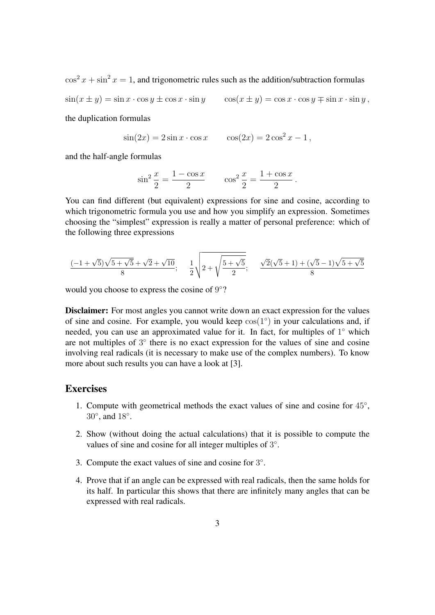$\cos^2 x + \sin^2 x = 1$ , and trigonometric rules such as the addition/subtraction formulas

 $\sin(x \pm y) = \sin x \cdot \cos y \pm \cos x \cdot \sin y$   $\cos(x \pm y) = \cos x \cdot \cos y \mp \sin x \cdot \sin y$ ,

the duplication formulas

$$
\sin(2x) = 2\sin x \cdot \cos x
$$
  $\cos(2x) = 2\cos^2 x - 1$ ,

and the half-angle formulas

$$
\sin^2 \frac{x}{2} = \frac{1 - \cos x}{2} \qquad \cos^2 \frac{x}{2} = \frac{1 + \cos x}{2}.
$$

You can find different (but equivalent) expressions for sine and cosine, according to which trigonometric formula you use and how you simplify an expression. Sometimes choosing the "simplest" expression is really a matter of personal preference: which of the following three expressions

$$
\frac{(-1+\sqrt{5})\sqrt{5+\sqrt{5}}+\sqrt{2}+\sqrt{10}}{8};\quad \frac{1}{2}\sqrt{2+\sqrt{\frac{5+\sqrt{5}}{2}}};\quad \frac{\sqrt{2}(\sqrt{5}+1)+(\sqrt{5}-1)\sqrt{5+\sqrt{5}}}{8}
$$

would you choose to express the cosine of 9°?

Disclaimer: For most angles you cannot write down an exact expression for the values of sine and cosine. For example, you would keep  $cos(1°)$  in your calculations and, if needed, you can use an approximated value for it. In fact, for multiples of 1° which are not multiples of 3° there is no exact expression for the values of sine and cosine involving real radicals (it is necessary to make use of the complex numbers). To know more about such results you can have a look at [\[3\]](#page-3-2).

#### **Exercises**

- 1. Compute with geometrical methods the exact values of sine and cosine for  $45^{\circ}$ , 30°, and 18°.
- 2. Show (without doing the actual calculations) that it is possible to compute the values of sine and cosine for all integer multiples of 3°.
- 3. Compute the exact values of sine and cosine for  $3^\circ$ .
- 4. Prove that if an angle can be expressed with real radicals, then the same holds for its half. In particular this shows that there are infinitely many angles that can be expressed with real radicals.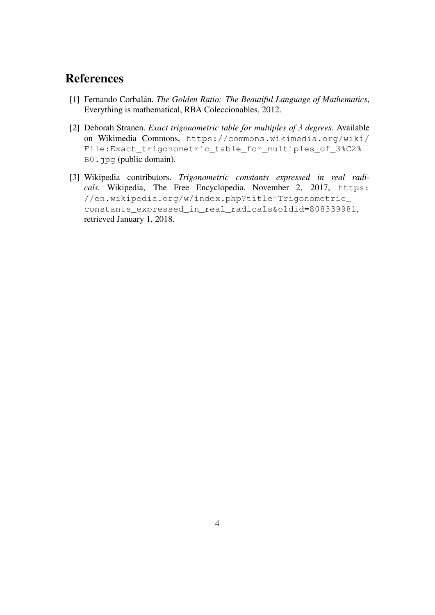## References

- <span id="page-3-1"></span>[1] Fernando Corbalán. *The Golden Ratio: The Beautiful Language of Mathematics*, Everything is mathematical, RBA Coleccionables, 2012.
- <span id="page-3-0"></span>[2] Deborah Stranen. *Exact trigonometric table for multiples of 3 degrees.* Available on Wikimedia Commons, [https://commons.wikimedia.org/wiki/](https://commons.wikimedia.org/wiki/File:Exact_trigonometric_table_for_multiples_of_3%C2%B0.jpg) [File:Exact\\_trigonometric\\_table\\_for\\_multiples\\_of\\_3%C2%](https://commons.wikimedia.org/wiki/File:Exact_trigonometric_table_for_multiples_of_3%C2%B0.jpg) [B0.jpg](https://commons.wikimedia.org/wiki/File:Exact_trigonometric_table_for_multiples_of_3%C2%B0.jpg) (public domain).
- <span id="page-3-2"></span>[3] Wikipedia contributors. *Trigonometric constants expressed in real radi*cals. Wikipedia, The Free Encyclopedia. November 2, 2017, [https:](https://en.wikipedia.org/w/index.php?title=Trigonometric_constants_expressed_in_real_radicals&oldid=808339981) [//en.wikipedia.org/w/index.php?title=Trigonometric\\_](https://en.wikipedia.org/w/index.php?title=Trigonometric_constants_expressed_in_real_radicals&oldid=808339981) [constants\\_expressed\\_in\\_real\\_radicals&oldid=808339981](https://en.wikipedia.org/w/index.php?title=Trigonometric_constants_expressed_in_real_radicals&oldid=808339981), retrieved January 1, 2018.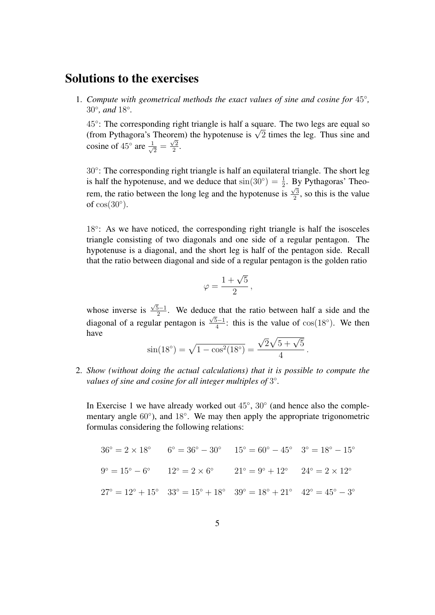### Solutions to the exercises

1. *Compute with geometrical methods the exact values of sine and cosine for* 45◦ *,* 30◦ *, and* 18◦ *.*

45°: The corresponding right triangle is half a square. The two legs are equal so  $45^\circ$ : The corresponding right triangle is half a square. The two legs are equal so (from Pythagora's Theorem) the hypotenuse is  $\sqrt{2}$  times the leg. Thus sine and cosine of  $45^{\circ}$  are  $\frac{1}{\sqrt{2}}$  $\frac{1}{2} = \frac{\sqrt{2}}{2}$  $\frac{2}{2}$ .

30°: The corresponding right triangle is half an equilateral triangle. The short leg is half the hypotenuse, and we deduce that  $sin(30^\circ) = \frac{1}{2}$ . By Pythagoras' Theorem, the ratio between the long leg and the hypotenuse is  $\sqrt{3}$  $\frac{\sqrt{3}}{2}$ , so this is the value of  $cos(30°)$ .

18°: As we have noticed, the corresponding right triangle is half the isosceles triangle consisting of two diagonals and one side of a regular pentagon. The hypotenuse is a diagonal, and the short leg is half of the pentagon side. Recall that the ratio between diagonal and side of a regular pentagon is the golden ratio

$$
\varphi = \frac{1+\sqrt{5}}{2},
$$

whose inverse is  $\sqrt{5}-1$  $\frac{2^{5}-1}{2}$ . We deduce that the ratio between half a side and the diagonal of a regular pentagon is  $\sqrt{5-1}$  $\frac{5-1}{4}$ : this is the value of  $\cos(18^{\circ})$ . We then have √

$$
\sin(18^\circ) = \sqrt{1 - \cos^2(18^\circ)} = \frac{\sqrt{2}\sqrt{5 + \sqrt{5}}}{4}.
$$

2. *Show (without doing the actual calculations) that it is possible to compute the* values of sine and cosine for all integer multiples of 3°.

In Exercise 1 we have already worked out 45°, 30° (and hence also the complementary angle 60°), and 18°. We may then apply the appropriate trigonometric formulas considering the following relations:

$$
36^{\circ} = 2 \times 18^{\circ} \qquad 6^{\circ} = 36^{\circ} - 30^{\circ} \qquad 15^{\circ} = 60^{\circ} - 45^{\circ} \qquad 3^{\circ} = 18^{\circ} - 15^{\circ}
$$
  

$$
9^{\circ} = 15^{\circ} - 6^{\circ} \qquad 12^{\circ} = 2 \times 6^{\circ} \qquad 21^{\circ} = 9^{\circ} + 12^{\circ} \qquad 24^{\circ} = 2 \times 12^{\circ}
$$
  

$$
27^{\circ} = 12^{\circ} + 15^{\circ} \qquad 33^{\circ} = 15^{\circ} + 18^{\circ} \qquad 39^{\circ} = 18^{\circ} + 21^{\circ} \qquad 42^{\circ} = 45^{\circ} - 3^{\circ}
$$